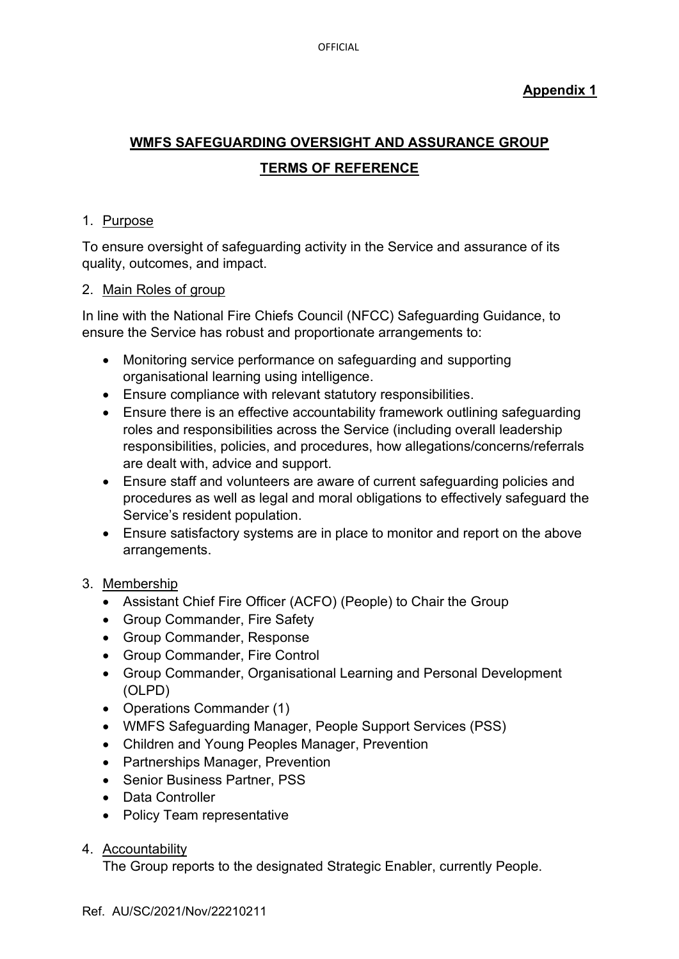# **Appendix 1**

# **WMFS SAFEGUARDING OVERSIGHT AND ASSURANCE GROUP TERMS OF REFERENCE**

### 1. Purpose

To ensure oversight of safeguarding activity in the Service and assurance of its quality, outcomes, and impact.

### 2. Main Roles of group

In line with the National Fire Chiefs Council (NFCC) Safeguarding Guidance, to ensure the Service has robust and proportionate arrangements to:

- Monitoring service performance on safeguarding and supporting organisational learning using intelligence.
- Ensure compliance with relevant statutory responsibilities.
- Ensure there is an effective accountability framework outlining safeguarding roles and responsibilities across the Service (including overall leadership responsibilities, policies, and procedures, how allegations/concerns/referrals are dealt with, advice and support.
- Ensure staff and volunteers are aware of current safeguarding policies and procedures as well as legal and moral obligations to effectively safeguard the Service's resident population.
- Ensure satisfactory systems are in place to monitor and report on the above arrangements.

## 3. Membership

- Assistant Chief Fire Officer (ACFO) (People) to Chair the Group
- Group Commander, Fire Safety
- Group Commander, Response
- Group Commander, Fire Control
- Group Commander, Organisational Learning and Personal Development (OLPD)
- Operations Commander (1)
- WMFS Safeguarding Manager, People Support Services (PSS)
- Children and Young Peoples Manager, Prevention
- Partnerships Manager, Prevention
- Senior Business Partner, PSS
- Data Controller
- Policy Team representative

# 4. Accountability

The Group reports to the designated Strategic Enabler, currently People.